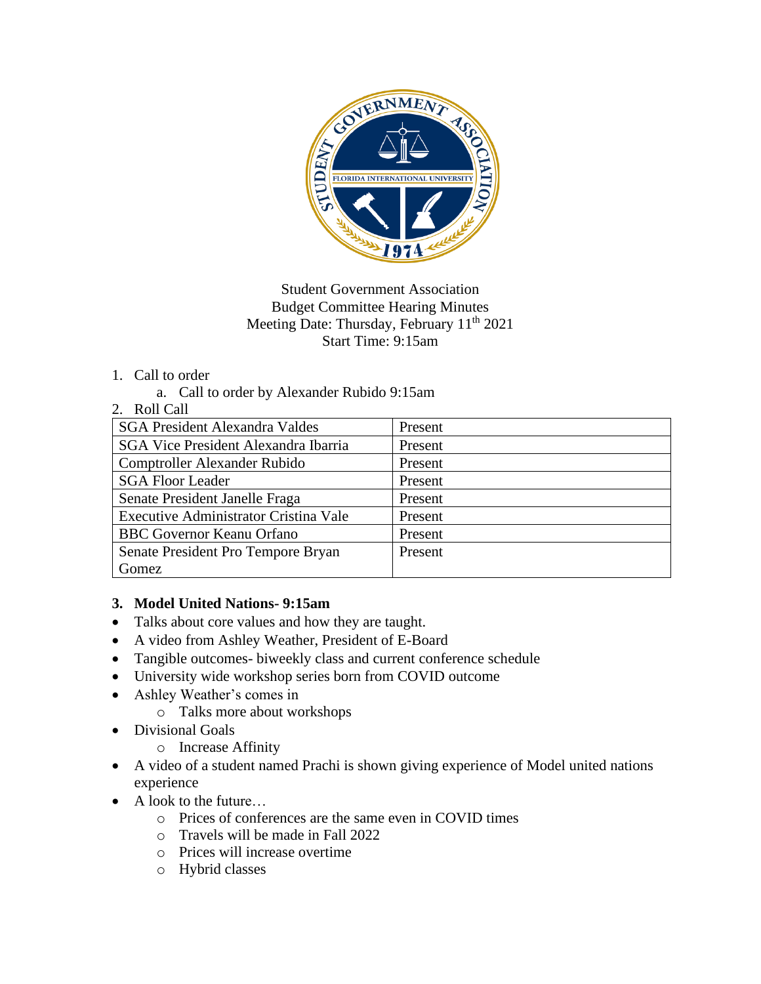

### Student Government Association Budget Committee Hearing Minutes Meeting Date: Thursday, February 11<sup>th</sup> 2021 Start Time: 9:15am

### 1. Call to order

a. Call to order by Alexander Rubido 9:15am

#### 2. Roll Call

| Present |
|---------|
| Present |
| Present |
| Present |
| Present |
| Present |
| Present |
| Present |
|         |
|         |

### **3. Model United Nations- 9:15am**

- Talks about core values and how they are taught.
- A video from Ashley Weather, President of E-Board
- Tangible outcomes- biweekly class and current conference schedule
- University wide workshop series born from COVID outcome
- Ashley Weather's comes in
	- o Talks more about workshops
- Divisional Goals
	- o Increase Affinity
- A video of a student named Prachi is shown giving experience of Model united nations experience
- A look to the future...
	- o Prices of conferences are the same even in COVID times
	- o Travels will be made in Fall 2022
	- o Prices will increase overtime
	- o Hybrid classes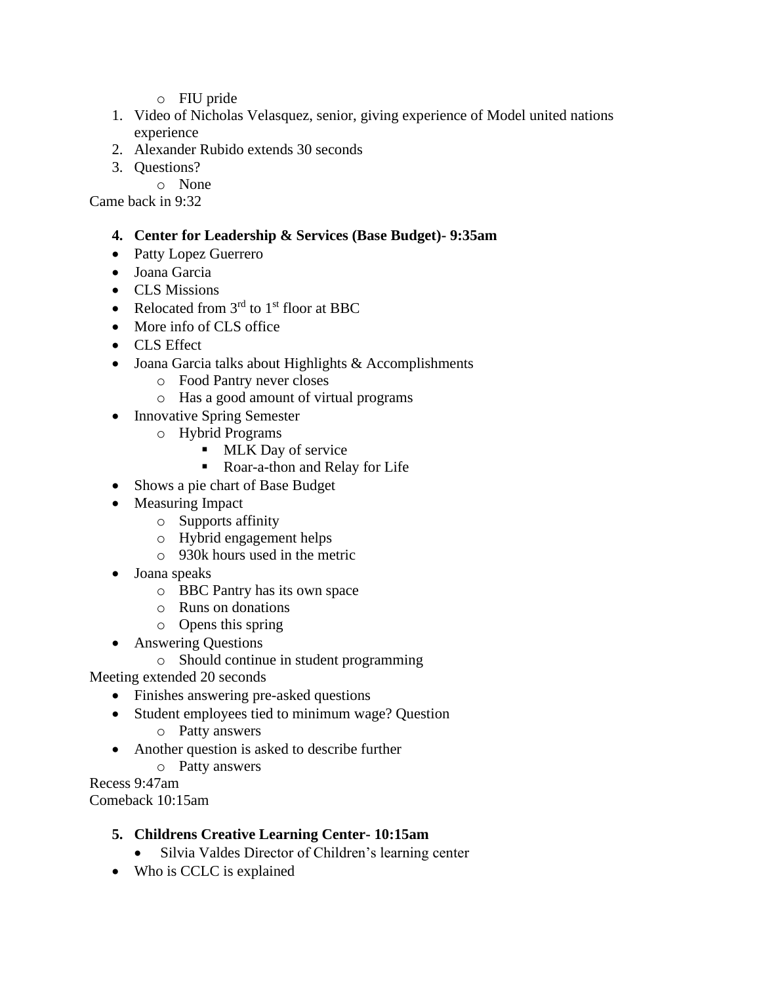- o FIU pride
- 1. Video of Nicholas Velasquez, senior, giving experience of Model united nations experience
- 2. Alexander Rubido extends 30 seconds
- 3. Questions?
	- o None

Came back in 9:32

### **4. Center for Leadership & Services (Base Budget)- 9:35am**

- Patty Lopez Guerrero
- Joana Garcia
- CLS Missions
- Relocated from  $3<sup>rd</sup>$  to  $1<sup>st</sup>$  floor at BBC
- More info of CLS office
- CLS Effect
- Joana Garcia talks about Highlights & Accomplishments
	- o Food Pantry never closes
	- o Has a good amount of virtual programs
- Innovative Spring Semester
	- o Hybrid Programs
		- MLK Day of service
		- Roar-a-thon and Relay for Life
- Shows a pie chart of Base Budget
- Measuring Impact
	- o Supports affinity
	- o Hybrid engagement helps
	- o 930k hours used in the metric
- Joana speaks
	- o BBC Pantry has its own space
	- o Runs on donations
	- o Opens this spring
- Answering Questions
	- o Should continue in student programming

Meeting extended 20 seconds

- Finishes answering pre-asked questions
- Student employees tied to minimum wage? Question
	- o Patty answers
- Another question is asked to describe further
	- o Patty answers

Recess 9:47am Comeback 10:15am

### **5. Childrens Creative Learning Center- 10:15am**

- Silvia Valdes Director of Children's learning center
- Who is CCLC is explained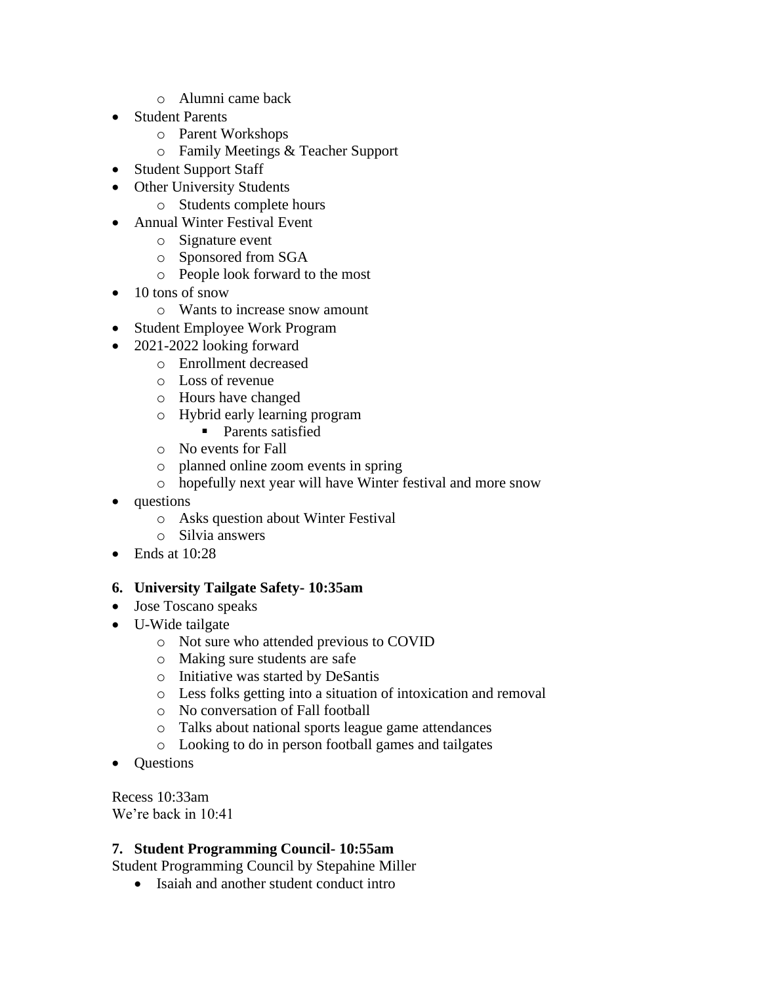- o Alumni came back
- Student Parents
	- o Parent Workshops
	- o Family Meetings & Teacher Support
- Student Support Staff
- Other University Students
	- o Students complete hours
- Annual Winter Festival Event
	- o Signature event
	- o Sponsored from SGA
	- o People look forward to the most
- 10 tons of snow
	- o Wants to increase snow amount
- Student Employee Work Program
- 2021-2022 looking forward
	- o Enrollment decreased
		- o Loss of revenue
		- o Hours have changed
		- o Hybrid early learning program
			- Parents satisfied
		- o No events for Fall
		- o planned online zoom events in spring
		- o hopefully next year will have Winter festival and more snow
- questions
	- o Asks question about Winter Festival
	- o Silvia answers
- Ends at 10:28

### **6. University Tailgate Safety- 10:35am**

- Jose Toscano speaks
- U-Wide tailgate
	- o Not sure who attended previous to COVID
	- o Making sure students are safe
	- o Initiative was started by DeSantis
	- o Less folks getting into a situation of intoxication and removal
	- o No conversation of Fall football
	- o Talks about national sports league game attendances
	- o Looking to do in person football games and tailgates
- Questions

Recess 10:33am We're back in 10:41

### **7. Student Programming Council- 10:55am**

Student Programming Council by Stepahine Miller

• Isaiah and another student conduct intro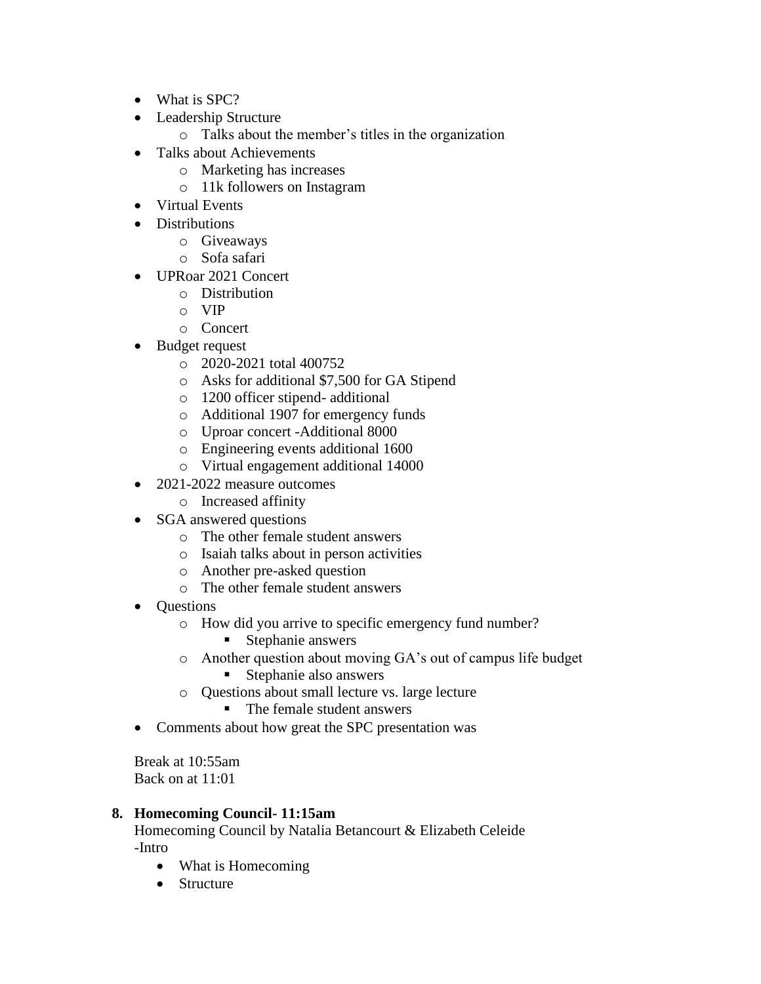- What is SPC?
- Leadership Structure
	- o Talks about the member's titles in the organization
- Talks about Achievements
	- o Marketing has increases
	- o 11k followers on Instagram
- Virtual Events
- Distributions
	- o Giveaways
	- o Sofa safari
- UPRoar 2021 Concert
	- o Distribution
	- o VIP
	- o Concert
- Budget request
	- o 2020-2021 total 400752
	- o Asks for additional \$7,500 for GA Stipend
	- o 1200 officer stipend- additional
	- o Additional 1907 for emergency funds
	- o Uproar concert -Additional 8000
	- o Engineering events additional 1600
	- o Virtual engagement additional 14000
- 2021-2022 measure outcomes
	- o Increased affinity
- SGA answered questions
	- o The other female student answers
	- o Isaiah talks about in person activities
	- o Another pre-asked question
	- o The other female student answers
- Questions
	- o How did you arrive to specific emergency fund number?
		- Stephanie answers
	- o Another question about moving GA's out of campus life budget
		- Stephanie also answers
	- o Questions about small lecture vs. large lecture
		- The female student answers
- Comments about how great the SPC presentation was

Break at 10:55am Back on at 11:01

### **8. Homecoming Council- 11:15am**

Homecoming Council by Natalia Betancourt & Elizabeth Celeide -Intro

- What is Homecoming
- Structure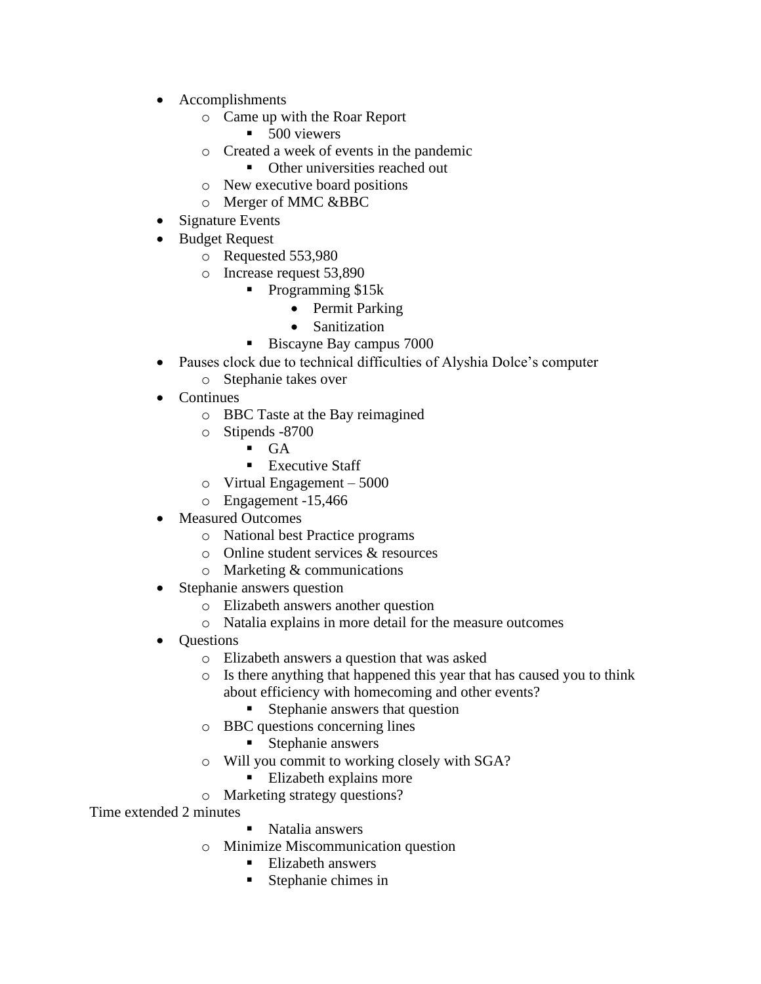- Accomplishments
	- o Came up with the Roar Report
		- 500 viewers
	- o Created a week of events in the pandemic
		- Other universities reached out
	- o New executive board positions
	- o Merger of MMC &BBC
- Signature Events
- Budget Request
	- o Requested 553,980
	- o Increase request 53,890
		- Programming \$15k
			- Permit Parking
			- Sanitization
			- Biscayne Bay campus 7000
- Pauses clock due to technical difficulties of Alyshia Dolce's computer
	- o Stephanie takes over
- **Continues** 
	- o BBC Taste at the Bay reimagined
	- o Stipends -8700
		- $\blacksquare$  GA
		- Executive Staff
	- o Virtual Engagement 5000
	- o Engagement -15,466
- Measured Outcomes
	- o National best Practice programs
	- o Online student services & resources
	- o Marketing & communications
- Stephanie answers question
	- o Elizabeth answers another question
	- o Natalia explains in more detail for the measure outcomes
- Questions
	- o Elizabeth answers a question that was asked
	- o Is there anything that happened this year that has caused you to think about efficiency with homecoming and other events?
		- Stephanie answers that question
	- o BBC questions concerning lines
		- Stephanie answers
	- o Will you commit to working closely with SGA?
		- **Elizabeth explains more**
	- o Marketing strategy questions?

Time extended 2 minutes

- Natalia answers
- o Minimize Miscommunication question
	- Elizabeth answers
	- Stephanie chimes in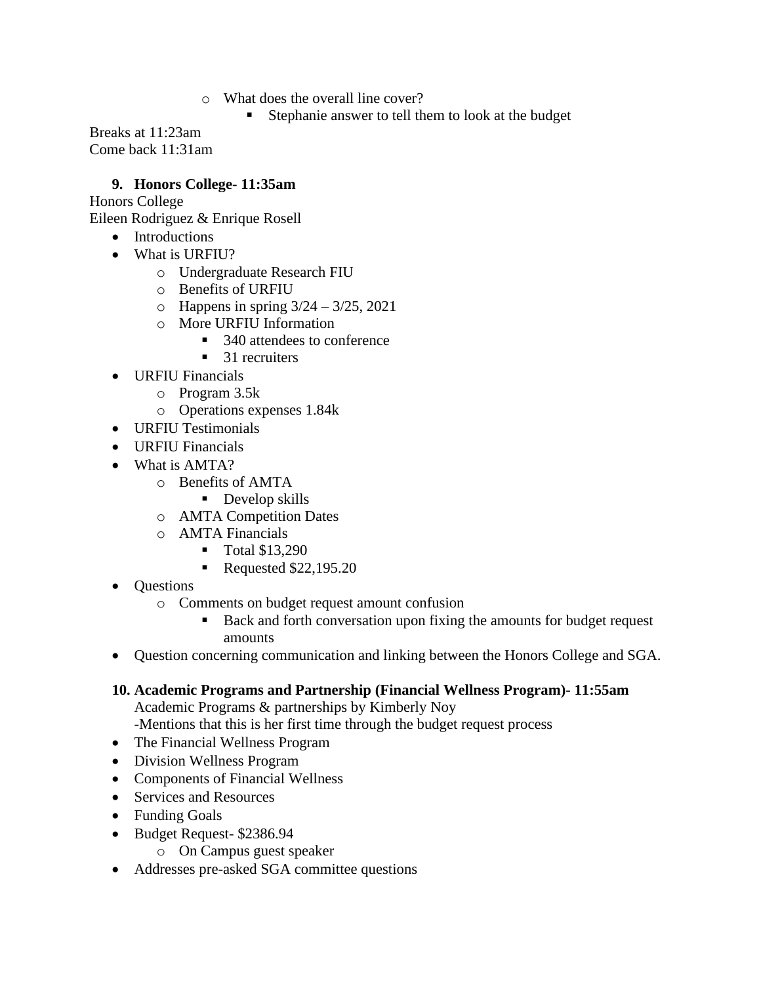- o What does the overall line cover?
	- Stephanie answer to tell them to look at the budget

Breaks at 11:23am Come back 11:31am

#### **9. Honors College- 11:35am**

Honors College

Eileen Rodriguez & Enrique Rosell

- Introductions
- What is URFIU?
	- o Undergraduate Research FIU
	- o Benefits of URFIU
	- $\circ$  Happens in spring  $3/24 3/25$ , 2021
	- o More URFIU Information
		- 340 attendees to conference
		- $\blacksquare$  31 recruiters
- URFIU Financials
	- o Program 3.5k
	- o Operations expenses 1.84k
- URFIU Testimonials
- URFIU Financials
- What is AMTA?
	- o Benefits of AMTA
		- Develop skills
	- o AMTA Competition Dates
	- o AMTA Financials
		- Total \$13,290
			- Requested \$22,195.20
- Questions
	- o Comments on budget request amount confusion
		- Back and forth conversation upon fixing the amounts for budget request amounts
- Question concerning communication and linking between the Honors College and SGA.

### **10. Academic Programs and Partnership (Financial Wellness Program)- 11:55am**

Academic Programs & partnerships by Kimberly Noy

-Mentions that this is her first time through the budget request process

- The Financial Wellness Program
- Division Wellness Program
- Components of Financial Wellness
- Services and Resources
- Funding Goals
- Budget Request- \$2386.94
	- o On Campus guest speaker
- Addresses pre-asked SGA committee questions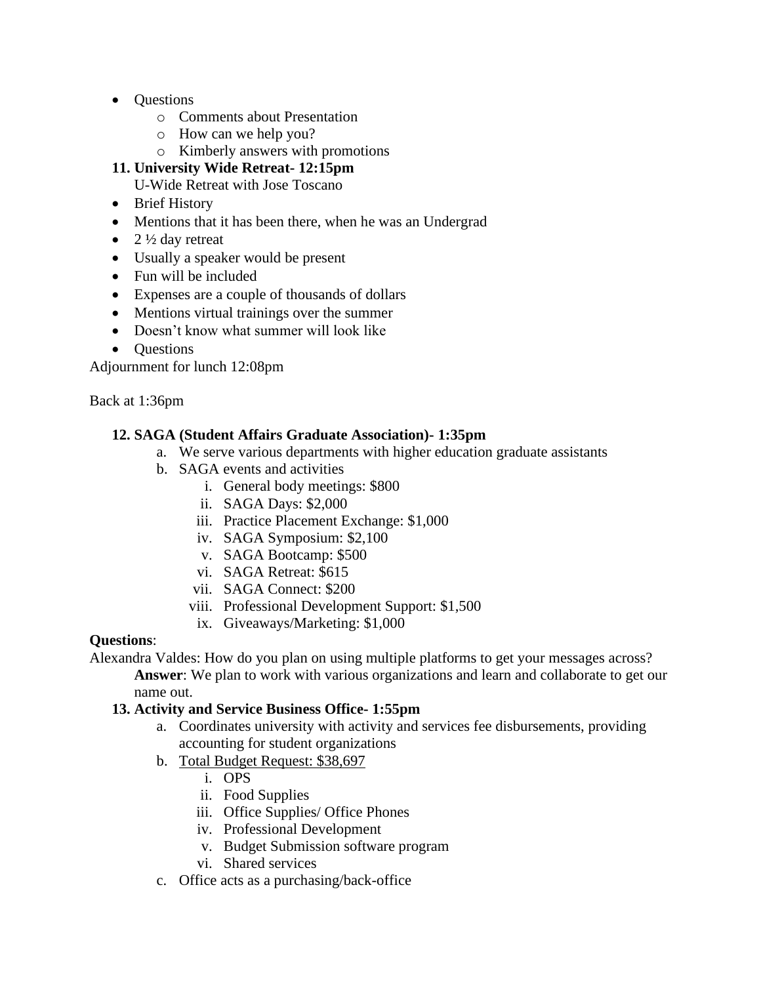- Ouestions
	- o Comments about Presentation
	- o How can we help you?
	- o Kimberly answers with promotions

### **11. University Wide Retreat- 12:15pm**

U-Wide Retreat with Jose Toscano

- Brief History
- Mentions that it has been there, when he was an Undergrad
- 2  $\frac{1}{2}$  day retreat
- Usually a speaker would be present
- Fun will be included
- Expenses are a couple of thousands of dollars
- Mentions virtual trainings over the summer
- Doesn't know what summer will look like
- Ouestions

Adjournment for lunch 12:08pm

Back at 1:36pm

### **12. SAGA (Student Affairs Graduate Association)- 1:35pm**

- a. We serve various departments with higher education graduate assistants
- b. SAGA events and activities
	- i. General body meetings: \$800
		- ii. SAGA Days: \$2,000
		- iii. Practice Placement Exchange: \$1,000
		- iv. SAGA Symposium: \$2,100
		- v. SAGA Bootcamp: \$500
		- vi. SAGA Retreat: \$615
		- vii. SAGA Connect: \$200
	- viii. Professional Development Support: \$1,500
	- ix. Giveaways/Marketing: \$1,000

### **Questions**:

Alexandra Valdes: How do you plan on using multiple platforms to get your messages across? **Answer**: We plan to work with various organizations and learn and collaborate to get our name out.

### **13. Activity and Service Business Office- 1:55pm**

- a. Coordinates university with activity and services fee disbursements, providing accounting for student organizations
- b. Total Budget Request: \$38,697
	- i. OPS
	- ii. Food Supplies
	- iii. Office Supplies/ Office Phones
	- iv. Professional Development
	- v. Budget Submission software program
	- vi. Shared services
- c. Office acts as a purchasing/back-office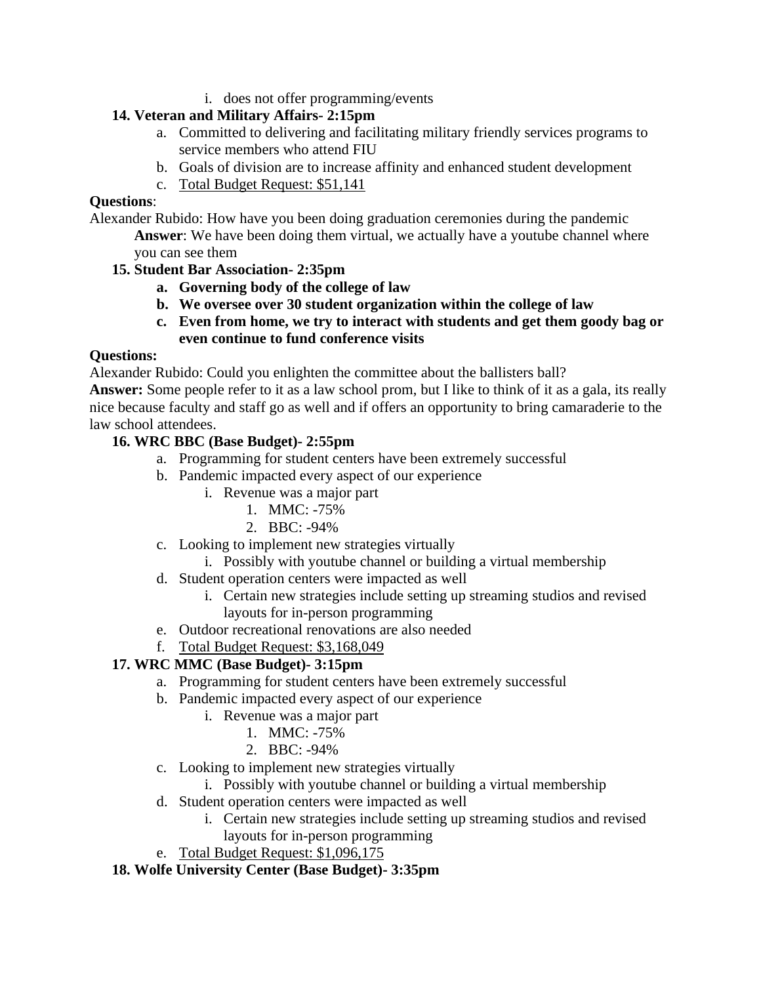i. does not offer programming/events

# **14. Veteran and Military Affairs- 2:15pm**

- a. Committed to delivering and facilitating military friendly services programs to service members who attend FIU
- b. Goals of division are to increase affinity and enhanced student development
- c. Total Budget Request: \$51,141

### **Questions**:

Alexander Rubido: How have you been doing graduation ceremonies during the pandemic **Answer**: We have been doing them virtual, we actually have a youtube channel where you can see them

# **15. Student Bar Association- 2:35pm**

- **a. Governing body of the college of law**
- **b. We oversee over 30 student organization within the college of law**
- **c. Even from home, we try to interact with students and get them goody bag or even continue to fund conference visits**

# **Questions:**

Alexander Rubido: Could you enlighten the committee about the ballisters ball?

**Answer:** Some people refer to it as a law school prom, but I like to think of it as a gala, its really nice because faculty and staff go as well and if offers an opportunity to bring camaraderie to the law school attendees.

# **16. WRC BBC (Base Budget)- 2:55pm**

- a. Programming for student centers have been extremely successful
- b. Pandemic impacted every aspect of our experience
	- i. Revenue was a major part
		- 1. MMC: -75%
		- 2. BBC: -94%
- c. Looking to implement new strategies virtually
	- i. Possibly with youtube channel or building a virtual membership
- d. Student operation centers were impacted as well
	- i. Certain new strategies include setting up streaming studios and revised layouts for in-person programming
- e. Outdoor recreational renovations are also needed
- f. Total Budget Request: \$3,168,049

# **17. WRC MMC (Base Budget)- 3:15pm**

- a. Programming for student centers have been extremely successful
- b. Pandemic impacted every aspect of our experience
	- i. Revenue was a major part
		- 1. MMC: -75%
		- 2. BBC: -94%
- c. Looking to implement new strategies virtually
	- i. Possibly with youtube channel or building a virtual membership
- d. Student operation centers were impacted as well
	- i. Certain new strategies include setting up streaming studios and revised layouts for in-person programming
- e. Total Budget Request: \$1,096,175

# **18. Wolfe University Center (Base Budget)- 3:35pm**